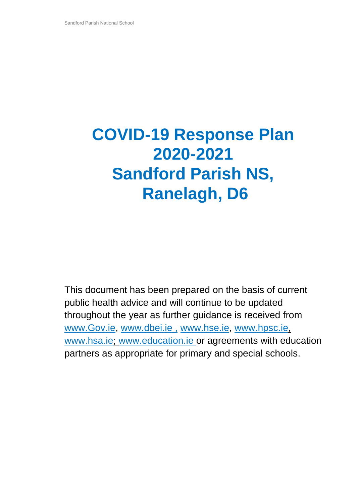# **COVID-19 Response Plan 2020-2021 Sandford Parish NS, Ranelagh, D6**

This document has been prepared on the basis of current public health advice and will continue to be updated throughout the year as further guidance is received from [www.Gov.ie,](http://www.gov.ie/) [www.dbei.ie](http://www.dbei.ie/) , [www.hse.ie,](http://www.hse.ie/) [www.hpsc.ie,](http://www.hpsc.ie/) [www.hsa.ie;](http://www.hsa.ie/) [www.education.ie](http://www.education.ie/) or agreements with education partners as appropriate for primary and special schools.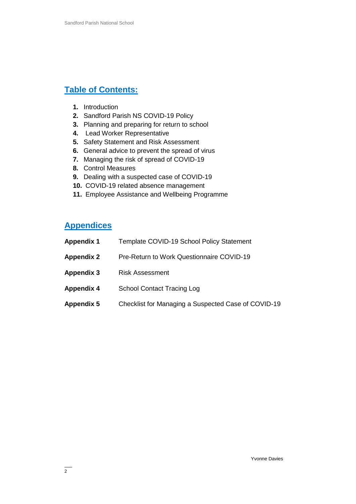# **Table of Contents:**

- **1.** Introduction
- **2.** Sandford Parish NS COVID-19 Policy
- **3.** Planning and preparing for return to school
- **4.** Lead Worker Representative
- **5.** Safety Statement and Risk Assessment
- **6.** General advice to prevent the spread of virus
- **7.** Managing the risk of spread of COVID-19
- **8.** Control Measures
- **9.** Dealing with a suspected case of COVID-19
- **10.** COVID-19 related absence management
- **11.** Employee Assistance and Wellbeing Programme

## **Appendices**

| <b>Appendix 1</b> | Template COVID-19 School Policy Statement           |
|-------------------|-----------------------------------------------------|
| <b>Appendix 2</b> | <b>Pre-Return to Work Questionnaire COVID-19</b>    |
| <b>Appendix 3</b> | <b>Risk Assessment</b>                              |
| <b>Appendix 4</b> | <b>School Contact Tracing Log</b>                   |
| <b>Appendix 5</b> | Checklist for Managing a Suspected Case of COVID-19 |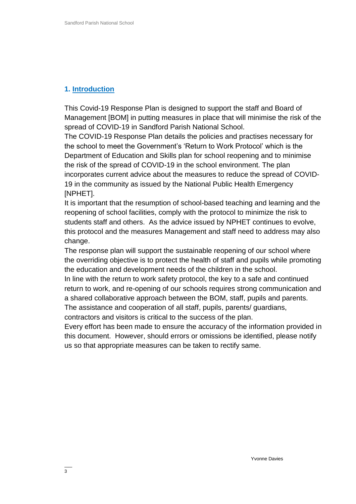## **1. Introduction**

This Covid-19 Response Plan is designed to support the staff and Board of Management [BOM] in putting measures in place that will minimise the risk of the spread of COVID-19 in Sandford Parish National School.

The COVID-19 Response Plan details the policies and practises necessary for the school to meet the Government's 'Return to Work Protocol' which is the Department of Education and Skills plan for school reopening and to minimise the risk of the spread of COVID-19 in the school environment. The plan incorporates current advice about the measures to reduce the spread of COVID-19 in the community as issued by the National Public Health Emergency [NPHET].

It is important that the resumption of school-based teaching and learning and the reopening of school facilities, comply with the protocol to minimize the risk to students staff and others. As the advice issued by NPHET continues to evolve, this protocol and the measures Management and staff need to address may also change.

The response plan will support the sustainable reopening of our school where the overriding objective is to protect the health of staff and pupils while promoting the education and development needs of the children in the school.

In line with the return to work safety protocol, the key to a safe and continued return to work, and re-opening of our schools requires strong communication and a shared collaborative approach between the BOM, staff, pupils and parents. The assistance and cooperation of all staff, pupils, parents/ guardians,

contractors and visitors is critical to the success of the plan.

Every effort has been made to ensure the accuracy of the information provided in this document. However, should errors or omissions be identified, please notify us so that appropriate measures can be taken to rectify same.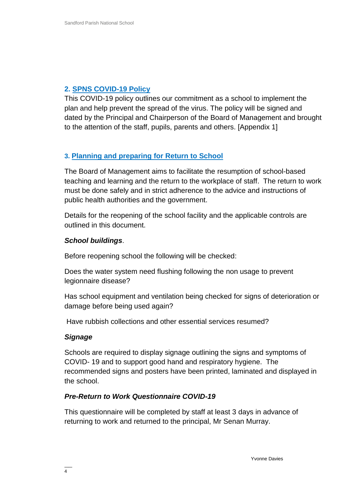## **2. SPNS COVID-19 Policy**

This COVID-19 policy outlines our commitment as a school to implement the plan and help prevent the spread of the virus. The policy will be signed and dated by the Principal and Chairperson of the Board of Management and brought to the attention of the staff, pupils, parents and others. [Appendix 1]

## **3. Planning and preparing for Return to School**

The Board of Management aims to facilitate the resumption of school-based teaching and learning and the return to the workplace of staff. The return to work must be done safely and in strict adherence to the advice and instructions of public health authorities and the government.

Details for the reopening of the school facility and the applicable controls are outlined in this document.

#### *School buildings*.

Before reopening school the following will be checked:

Does the water system need flushing following the non usage to prevent legionnaire disease?

Has school equipment and ventilation being checked for signs of deterioration or damage before being used again?

Have rubbish collections and other essential services resumed?

#### *Signage*

Schools are required to display signage outlining the signs and symptoms of COVID- 19 and to support good hand and respiratory hygiene. The recommended signs and posters have been printed, laminated and displayed in the school.

#### *Pre-Return to Work Questionnaire COVID-19*

This questionnaire will be completed by staff at least 3 days in advance of returning to work and returned to the principal, Mr Senan Murray.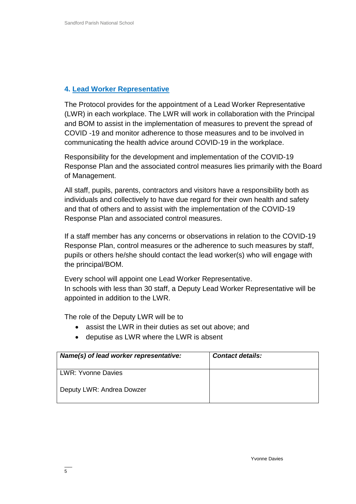#### **4. Lead Worker Representative**

The Protocol provides for the appointment of a Lead Worker Representative (LWR) in each workplace. The LWR will work in collaboration with the Principal and BOM to assist in the implementation of measures to prevent the spread of COVID -19 and monitor adherence to those measures and to be involved in communicating the health advice around COVID-19 in the workplace.

Responsibility for the development and implementation of the COVID-19 Response Plan and the associated control measures lies primarily with the Board of Management.

All staff, pupils, parents, contractors and visitors have a responsibility both as individuals and collectively to have due regard for their own health and safety and that of others and to assist with the implementation of the COVID-19 Response Plan and associated control measures.

If a staff member has any concerns or observations in relation to the COVID-19 Response Plan, control measures or the adherence to such measures by staff, pupils or others he/she should contact the lead worker(s) who will engage with the principal/BOM.

Every school will appoint one Lead Worker Representative. In schools with less than 30 staff, a Deputy Lead Worker Representative will be appointed in addition to the LWR.

The role of the Deputy LWR will be to

- assist the LWR in their duties as set out above; and
- deputise as LWR where the LWR is absent

| Name(s) of lead worker representative: | <b>Contact details:</b> |
|----------------------------------------|-------------------------|
| <b>LWR: Yvonne Davies</b>              |                         |
| Deputy LWR: Andrea Dowzer              |                         |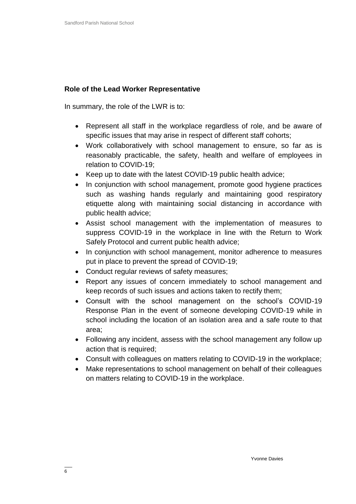### **Role of the Lead Worker Representative**

In summary, the role of the LWR is to:

- Represent all staff in the workplace regardless of role, and be aware of specific issues that may arise in respect of different staff cohorts;
- Work collaboratively with school management to ensure, so far as is reasonably practicable, the safety, health and welfare of employees in relation to COVID-19;
- Keep up to date with the latest COVID-19 public health advice:
- In conjunction with school management, promote good hygiene practices such as washing hands regularly and maintaining good respiratory etiquette along with maintaining social distancing in accordance with public health advice;
- Assist school management with the implementation of measures to suppress COVID-19 in the workplace in line with the Return to Work Safely Protocol and current public health advice;
- In conjunction with school management, monitor adherence to measures put in place to prevent the spread of COVID-19;
- Conduct regular reviews of safety measures;
- Report any issues of concern immediately to school management and keep records of such issues and actions taken to rectify them;
- Consult with the school management on the school's COVID-19 Response Plan in the event of someone developing COVID-19 while in school including the location of an isolation area and a safe route to that area;
- Following any incident, assess with the school management any follow up action that is required;
- Consult with colleagues on matters relating to COVID-19 in the workplace;
- Make representations to school management on behalf of their colleagues on matters relating to COVID-19 in the workplace.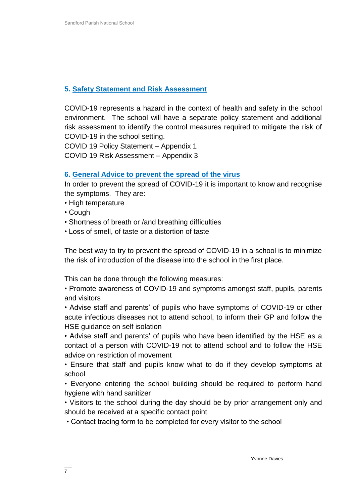## **5. Safety Statement and Risk Assessment**

COVID-19 represents a hazard in the context of health and safety in the school environment. The school will have a separate policy statement and additional risk assessment to identify the control measures required to mitigate the risk of COVID-19 in the school setting.

COVID 19 Policy Statement – Appendix 1

COVID 19 Risk Assessment – Appendix 3

#### **6. General Advice to prevent the spread of the virus**

In order to prevent the spread of COVID-19 it is important to know and recognise the symptoms. They are:

- High temperature
- Cough
- Shortness of breath or /and breathing difficulties
- Loss of smell, of taste or a distortion of taste

The best way to try to prevent the spread of COVID-19 in a school is to minimize the risk of introduction of the disease into the school in the first place.

This can be done through the following measures:

• Promote awareness of COVID-19 and symptoms amongst staff, pupils, parents and visitors

• Advise staff and parents' of pupils who have symptoms of COVID-19 or other acute infectious diseases not to attend school, to inform their GP and follow the HSE guidance on self isolation

• Advise staff and parents' of pupils who have been identified by the HSE as a contact of a person with COVID-19 not to attend school and to follow the HSE advice on restriction of movement

• Ensure that staff and pupils know what to do if they develop symptoms at school

• Everyone entering the school building should be required to perform hand hygiene with hand sanitizer

• Visitors to the school during the day should be by prior arrangement only and should be received at a specific contact point

• Contact tracing form to be completed for every visitor to the school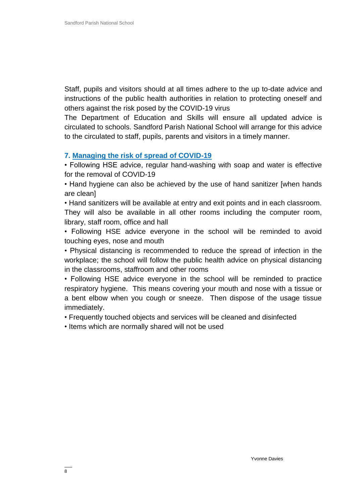Staff, pupils and visitors should at all times adhere to the up to-date advice and instructions of the public health authorities in relation to protecting oneself and others against the risk posed by the COVID-19 virus

The Department of Education and Skills will ensure all updated advice is circulated to schools. Sandford Parish National School will arrange for this advice to the circulated to staff, pupils, parents and visitors in a timely manner.

#### **7. Managing the risk of spread of COVID-19**

• Following HSE advice, regular hand-washing with soap and water is effective for the removal of COVID-19

• Hand hygiene can also be achieved by the use of hand sanitizer [when hands are clean]

• Hand sanitizers will be available at entry and exit points and in each classroom. They will also be available in all other rooms including the computer room, library, staff room, office and hall

• Following HSE advice everyone in the school will be reminded to avoid touching eyes, nose and mouth

• Physical distancing is recommended to reduce the spread of infection in the workplace; the school will follow the public health advice on physical distancing in the classrooms, staffroom and other rooms

• Following HSE advice everyone in the school will be reminded to practice respiratory hygiene. This means covering your mouth and nose with a tissue or a bent elbow when you cough or sneeze. Then dispose of the usage tissue immediately.

• Frequently touched objects and services will be cleaned and disinfected

• Items which are normally shared will not be used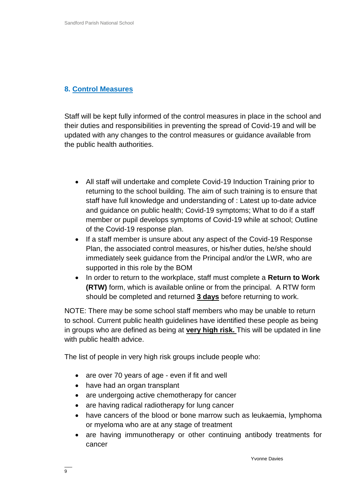### **8. Control Measures**

Staff will be kept fully informed of the control measures in place in the school and their duties and responsibilities in preventing the spread of Covid-19 and will be updated with any changes to the control measures or guidance available from the public health authorities.

- All staff will undertake and complete Covid-19 Induction Training prior to returning to the school building. The aim of such training is to ensure that staff have full knowledge and understanding of : Latest up to-date advice and guidance on public health; Covid-19 symptoms; What to do if a staff member or pupil develops symptoms of Covid-19 while at school; Outline of the Covid-19 response plan.
- If a staff member is unsure about any aspect of the Covid-19 Response Plan, the associated control measures, or his/her duties, he/she should immediately seek guidance from the Principal and/or the LWR, who are supported in this role by the BOM
- In order to return to the workplace, staff must complete a **Return to Work (RTW)** form, which is available online or from the principal. A RTW form should be completed and returned **3 days** before returning to work.

NOTE: There may be some school staff members who may be unable to return to school. Current public health guidelines have identified these people as being in groups who are defined as being at **very high risk.** This will be updated in line with public health advice.

The list of people in very high risk groups include people who:

- are over 70 years of age even if fit and well
- have had an organ transplant
- are undergoing active chemotherapy for cancer
- are having radical radiotherapy for lung cancer
- have cancers of the blood or bone marrow such as leukaemia, lymphoma or myeloma who are at any stage of treatment
- are having immunotherapy or other continuing antibody treatments for cancer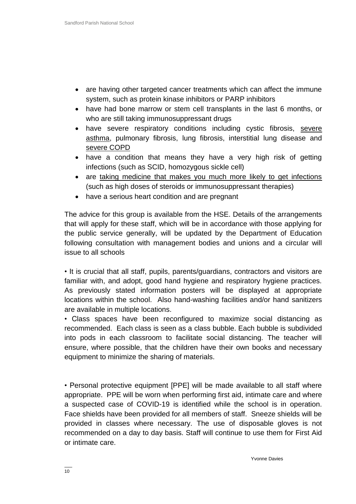- are having other targeted cancer treatments which can affect the immune system, such as protein kinase inhibitors or PARP inhibitors
- have had bone marrow or stem cell transplants in the last 6 months, or who are still taking immunosuppressant drugs
- have severe respiratory conditions including cystic fibrosis, [severe](https://www2.hse.ie/conditions/coronavirus/asthma.html)  [asthma,](https://www2.hse.ie/conditions/coronavirus/asthma.html) pulmonary fibrosis, lung fibrosis, interstitial lung disease and [severe COPD](https://www2.hse.ie/conditions/coronavirus/copd.html)
- have a condition that means they have a very high risk of getting infections (such as SCID, homozygous sickle cell)
- are [taking medicine that makes you much more likely to get infections](https://www2.hse.ie/conditions/coronavirus/weak-immune-system.html) (such as high doses of steroids or immunosuppressant therapies)
- have a serious heart condition and are pregnant

The advice for this group is available from the HSE. Details of the arrangements that will apply for these staff, which will be in accordance with those applying for the public service generally, will be updated by the Department of Education following consultation with management bodies and unions and a circular will issue to all schools

• It is crucial that all staff, pupils, parents/guardians, contractors and visitors are familiar with, and adopt, good hand hygiene and respiratory hygiene practices. As previously stated information posters will be displayed at appropriate locations within the school. Also hand-washing facilities and/or hand sanitizers are available in multiple locations.

• Class spaces have been reconfigured to maximize social distancing as recommended. Each class is seen as a class bubble. Each bubble is subdivided into pods in each classroom to facilitate social distancing. The teacher will ensure, where possible, that the children have their own books and necessary equipment to minimize the sharing of materials.

• Personal protective equipment [PPE] will be made available to all staff where appropriate. PPE will be worn when performing first aid, intimate care and where a suspected case of COVID-19 is identified while the school is in operation. Face shields have been provided for all members of staff. Sneeze shields will be provided in classes where necessary. The use of disposable gloves is not recommended on a day to day basis. Staff will continue to use them for First Aid or intimate care.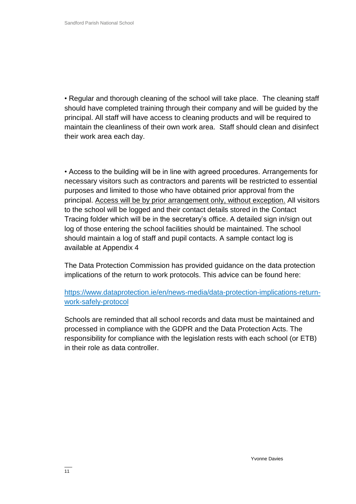• Regular and thorough cleaning of the school will take place. The cleaning staff should have completed training through their company and will be guided by the principal. All staff will have access to cleaning products and will be required to maintain the cleanliness of their own work area. Staff should clean and disinfect their work area each day.

• Access to the building will be in line with agreed procedures. Arrangements for necessary visitors such as contractors and parents will be restricted to essential purposes and limited to those who have obtained prior approval from the principal. Access will be by prior arrangement only, without exception. All visitors to the school will be logged and their contact details stored in the Contact Tracing folder which will be in the secretary's office. A detailed sign in/sign out log of those entering the school facilities should be maintained. The school should maintain a log of staff and pupil contacts. A sample contact log is available at Appendix 4

The Data Protection Commission has provided guidance on the data protection implications of the return to work protocols. This advice can be found here:

[https://www.dataprotection.ie/en/news-media/data-protection-implications-return](https://www.dataprotection.ie/en/news-media/data-protection-implications-return-work-safely-protocol)[work-safely-protocol](https://www.dataprotection.ie/en/news-media/data-protection-implications-return-work-safely-protocol)

Schools are reminded that all school records and data must be maintained and processed in compliance with the GDPR and the Data Protection Acts. The responsibility for compliance with the legislation rests with each school (or ETB) in their role as data controller.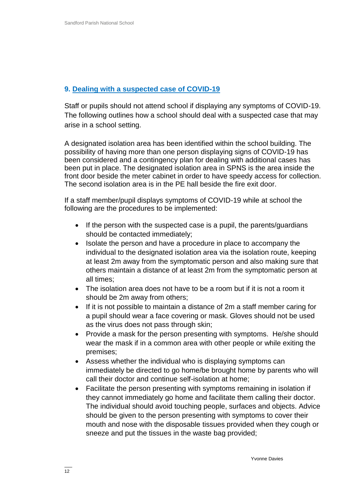## **9. Dealing with a suspected case of COVID-19**

Staff or pupils should not attend school if displaying any symptoms of COVID-19. The following outlines how a school should deal with a suspected case that may arise in a school setting.

A designated isolation area has been identified within the school building. The possibility of having more than one person displaying signs of COVID-19 has been considered and a contingency plan for dealing with additional cases has been put in place. The designated isolation area in SPNS is the area inside the front door beside the meter cabinet in order to have speedy access for collection. The second isolation area is in the PE hall beside the fire exit door.

If a staff member/pupil displays symptoms of COVID-19 while at school the following are the procedures to be implemented:

- If the person with the suspected case is a pupil, the parents/guardians should be contacted immediately;
- Isolate the person and have a procedure in place to accompany the individual to the designated isolation area via the isolation route, keeping at least 2m away from the symptomatic person and also making sure that others maintain a distance of at least 2m from the symptomatic person at all times;
- The isolation area does not have to be a room but if it is not a room it should be 2m away from others;
- If it is not possible to maintain a distance of 2m a staff member caring for a pupil should wear a face covering or mask. Gloves should not be used as the virus does not pass through skin;
- Provide a mask for the person presenting with symptoms. He/she should wear the mask if in a common area with other people or while exiting the premises;
- Assess whether the individual who is displaying symptoms can immediately be directed to go home/be brought home by parents who will call their doctor and continue self-isolation at home;
- Facilitate the person presenting with symptoms remaining in isolation if they cannot immediately go home and facilitate them calling their doctor. The individual should avoid touching people, surfaces and objects. Advice should be given to the person presenting with symptoms to cover their mouth and nose with the disposable tissues provided when they cough or sneeze and put the tissues in the waste bag provided;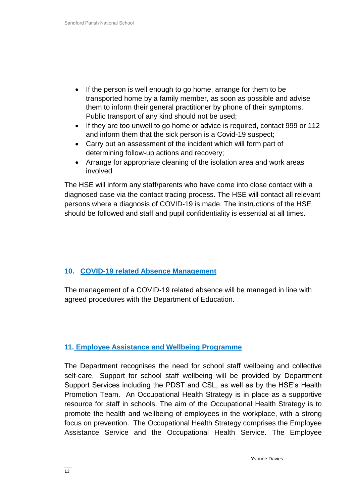- If the person is well enough to go home, arrange for them to be transported home by a family member, as soon as possible and advise them to inform their general practitioner by phone of their symptoms. Public transport of any kind should not be used;
- If they are too unwell to go home or advice is required, contact 999 or 112 and inform them that the sick person is a Covid-19 suspect;
- Carry out an assessment of the incident which will form part of determining follow-up actions and recovery;
- Arrange for appropriate cleaning of the isolation area and work areas involved

The HSE will inform any staff/parents who have come into close contact with a diagnosed case via the contact tracing process. The HSE will contact all relevant persons where a diagnosis of COVID-19 is made. The instructions of the HSE should be followed and staff and pupil confidentiality is essential at all times.

## **10. COVID-19 related Absence Management**

The management of a COVID-19 related absence will be managed in line with agreed procedures with the Department of Education.

#### **11. Employee Assistance and Wellbeing Programme**

The Department recognises the need for school staff wellbeing and collective self-care. Support for school staff wellbeing will be provided by Department Support Services including the PDST and CSL, as well as by the HSE's Health Promotion Team. An [Occupational Health Strategy](https://www.education.ie/en/Education-Staff/Information/Occupational-Health-Strategy/) is in place as a supportive resource for staff in schools. The aim of the Occupational Health Strategy is to promote the health and wellbeing of employees in the workplace, with a strong focus on prevention. The Occupational Health Strategy comprises the Employee Assistance Service and the Occupational Health Service. The Employee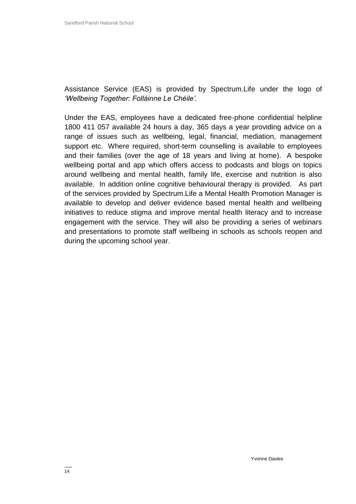Assistance Service (EAS) is provided by Spectrum.Life under the logo of *'Wellbeing Together: Folláinne Le Chéile'.* 

Under the EAS, employees have a dedicated free-phone confidential helpline 1800 411 057 available 24 hours a day, 365 days a year providing advice on a range of issues such as wellbeing, legal, financial, mediation, management support etc. Where required, short-term counselling is available to employees and their families (over the age of 18 years and living at home). A bespoke wellbeing portal and app which offers access to podcasts and blogs on topics around wellbeing and mental health, family life, exercise and nutrition is also available. In addition online cognitive behavioural therapy is provided. As part of the services provided by Spectrum.Life a Mental Health Promotion Manager is available to develop and deliver evidence based mental health and wellbeing initiatives to reduce stigma and improve mental health literacy and to increase engagement with the service. They will also be providing a series of webinars and presentations to promote staff wellbeing in schools as schools reopen and during the upcoming school year.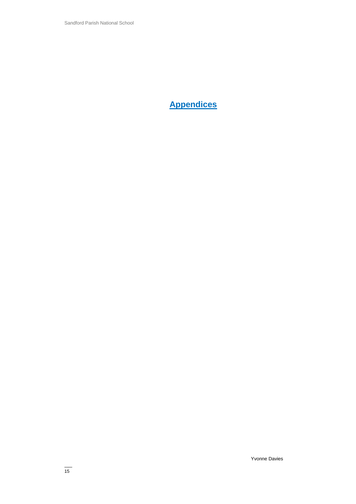**Appendices**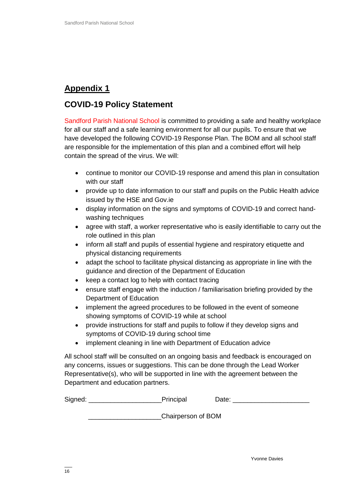# **Appendix 1**

# **COVID-19 Policy Statement**

Sandford Parish National School is committed to providing a safe and healthy workplace for all our staff and a safe learning environment for all our pupils. To ensure that we have developed the following COVID-19 Response Plan. The BOM and all school staff are responsible for the implementation of this plan and a combined effort will help contain the spread of the virus. We will:

- continue to monitor our COVID-19 response and amend this plan in consultation with our staff
- provide up to date information to our staff and pupils on the Public Health advice issued by the HSE and Gov.ie
- display information on the signs and symptoms of COVID-19 and correct handwashing techniques
- agree with staff, a worker representative who is easily identifiable to carry out the role outlined in this plan
- inform all staff and pupils of essential hygiene and respiratory etiquette and physical distancing requirements
- adapt the school to facilitate physical distancing as appropriate in line with the guidance and direction of the Department of Education
- keep a contact log to help with contact tracing
- ensure staff engage with the induction / familiarisation briefing provided by the Department of Education
- implement the agreed procedures to be followed in the event of someone showing symptoms of COVID-19 while at school
- provide instructions for staff and pupils to follow if they develop signs and symptoms of COVID-19 during school time
- implement cleaning in line with Department of Education advice

All school staff will be consulted on an ongoing basis and feedback is encouraged on any concerns, issues or suggestions. This can be done through the Lead Worker Representative(s), who will be supported in line with the agreement between the Department and education partners.

| Signed: | Principal | Jate: |
|---------|-----------|-------|
|         |           |       |

\_\_\_\_\_\_\_\_\_\_\_\_\_\_\_\_\_\_\_\_Chairperson of BOM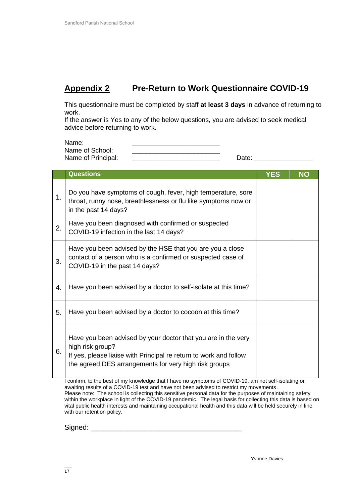# **Appendix 2 Pre-Return to Work Questionnaire COVID-19**

This questionnaire must be completed by staff **at least 3 days** in advance of returning to work.

If the answer is Yes to any of the below questions, you are advised to seek medical advice before returning to work.

| Name:              |       |
|--------------------|-------|
| Name of School:    |       |
| Name of Principal: | Date: |

|    | <b>Questions</b>                                                                                                                                                                                                | <b>YES</b> | <b>NO</b> |
|----|-----------------------------------------------------------------------------------------------------------------------------------------------------------------------------------------------------------------|------------|-----------|
| 1. | Do you have symptoms of cough, fever, high temperature, sore<br>throat, runny nose, breathlessness or flu like symptoms now or<br>in the past 14 days?                                                          |            |           |
| 2. | Have you been diagnosed with confirmed or suspected<br>COVID-19 infection in the last 14 days?                                                                                                                  |            |           |
| 3. | Have you been advised by the HSE that you are you a close<br>contact of a person who is a confirmed or suspected case of<br>COVID-19 in the past 14 days?                                                       |            |           |
| 4. | Have you been advised by a doctor to self-isolate at this time?                                                                                                                                                 |            |           |
| 5. | Have you been advised by a doctor to cocoon at this time?                                                                                                                                                       |            |           |
| 6. | Have you been advised by your doctor that you are in the very<br>high risk group?<br>If yes, please liaise with Principal re return to work and follow<br>the agreed DES arrangements for very high risk groups |            |           |

I confirm, to the best of my knowledge that I have no symptoms of COVID-19, am not self-isolating or awaiting results of a COVID-19 test and have not been advised to restrict my movements. Please note: The school is collecting this sensitive personal data for the purposes of maintaining safety within the workplace in light of the COVID-19 pandemic. The legal basis for collecting this data is based on vital public health interests and maintaining occupational health and this data will be held securely in line with our retention policy.

Signed: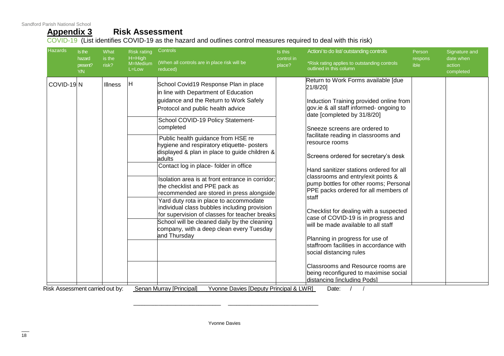Sandford Parish National School

# **Appendix 3 Risk Assessment**

COVID-19 (List identifies COVID-19 as the hazard and outlines control measures required to deal with this risk)

| <b>Hazards</b>                               | Is the<br>hazard       | What<br>is the | <b>Risk rating</b><br>$H = High$<br>M=Medium<br>$L = Low$ | Controls                                                                                                                                                                                                                                                                                                                                                                                                                                                                                                                                                                                                                                                                                                                                                                                                                                                              | Is this<br>control in | Action/ to do list/ outstanding controls                                                                                                                                                                                                                                                                                                                                                                                                                                                                                                                                                                                                                                                                                                                                                                                                            | Person<br>respons | Signature and<br>date when<br>action<br>completed |
|----------------------------------------------|------------------------|----------------|-----------------------------------------------------------|-----------------------------------------------------------------------------------------------------------------------------------------------------------------------------------------------------------------------------------------------------------------------------------------------------------------------------------------------------------------------------------------------------------------------------------------------------------------------------------------------------------------------------------------------------------------------------------------------------------------------------------------------------------------------------------------------------------------------------------------------------------------------------------------------------------------------------------------------------------------------|-----------------------|-----------------------------------------------------------------------------------------------------------------------------------------------------------------------------------------------------------------------------------------------------------------------------------------------------------------------------------------------------------------------------------------------------------------------------------------------------------------------------------------------------------------------------------------------------------------------------------------------------------------------------------------------------------------------------------------------------------------------------------------------------------------------------------------------------------------------------------------------------|-------------------|---------------------------------------------------|
|                                              | present?<br><b>Y/N</b> | risk?          |                                                           | (When all controls are in place risk will be<br>reduced)                                                                                                                                                                                                                                                                                                                                                                                                                                                                                                                                                                                                                                                                                                                                                                                                              | place?                | *Risk rating applies to outstanding controls<br>outlined in this column                                                                                                                                                                                                                                                                                                                                                                                                                                                                                                                                                                                                                                                                                                                                                                             | ible              |                                                   |
| COVID-19N<br>Risk Assessment carried out by: |                        | Illness        | lН                                                        | School Covid19 Response Plan in place<br>in line with Department of Education<br>guidance and the Return to Work Safely<br>Protocol and public health advice<br>School COVID-19 Policy Statement-<br>completed<br>Public health guidance from HSE re<br>hygiene and respiratory etiquette- posters<br>displayed & plan in place to guide children &<br>adults<br>Contact log in place-folder in office<br>Isolation area is at front entrance in corridor;<br>the checklist and PPE pack as<br>recommended are stored in press alongside<br>Yard duty rota in place to accommodate<br>individual class bubbles including provision<br>for supervision of classes for teacher breaks<br>School will be cleaned daily by the cleaning<br>company, with a deep clean every Tuesday<br>and Thursday<br>Senan Murray [Principal]<br>Yvonne Davies [Deputy Principal & LWR] |                       | Return to Work Forms available [due<br>21/8/201<br>Induction Training provided online from<br>gov.ie & all staff informed- ongoing to<br>date [completed by 31/8/20]<br>Sneeze screens are ordered to<br>facilitate reading in classrooms and<br>resource rooms<br>Screens ordered for secretary's desk<br>Hand sanitizer stations ordered for all<br>classrooms and entry/exit points &<br>pump bottles for other rooms; Personal<br>PPE packs ordered for all members of<br><b>Istaff</b><br>Checklist for dealing with a suspected<br>case of COVID-19 is in progress and<br>lwill be made available to all staff<br>Planning in progress for use of<br>staffroom facilities in accordance with<br>social distancing rules<br>Classrooms and Resource rooms are<br>being reconfigured to maximise social<br>distancing lincluding Podsl<br>Date: |                   |                                                   |

Yvonne Davies

\_\_\_\_\_\_\_\_\_\_\_\_\_\_\_\_\_\_\_\_\_\_\_\_\_\_\_\_\_\_\_ \_\_\_\_\_\_\_\_\_\_\_\_\_\_\_\_\_\_\_\_\_\_\_\_\_\_\_\_\_\_\_\_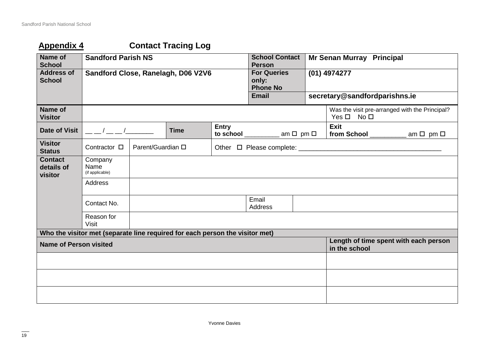# **Appendix 4 Contact Tracing Log**

| <b>Name of</b><br><b>School</b>         | <b>Sandford Parish NS</b>                                                    |                   |             | <b>School Contact</b><br><b>Person</b> |                                                | <b>Mr Senan Murray Principal</b>                       |                                                                      |  |  |
|-----------------------------------------|------------------------------------------------------------------------------|-------------------|-------------|----------------------------------------|------------------------------------------------|--------------------------------------------------------|----------------------------------------------------------------------|--|--|
| <b>Address of</b><br><b>School</b>      | Sandford Close, Ranelagh, D06 V2V6                                           |                   |             |                                        | <b>For Queries</b><br>only:<br><b>Phone No</b> |                                                        | (01) 4974277                                                         |  |  |
|                                         |                                                                              |                   |             |                                        | <b>Email</b>                                   |                                                        | secretary@sandfordparishns.ie                                        |  |  |
| Name of<br><b>Visitor</b>               |                                                                              |                   |             |                                        |                                                |                                                        | Was the visit pre-arranged with the Principal?<br>$Yes \Box No \Box$ |  |  |
| Date of Visit                           | $\sqrt{2}$                                                                   |                   | <b>Time</b> | <b>Entry</b>                           | to school $\_\_\_\_\_$ am $\Box$ pm $\Box$     |                                                        | <b>Exit</b><br>from School $\_\_\_\_\_$ am $\Box$ pm $\Box$          |  |  |
| <b>Visitor</b><br><b>Status</b>         | Contractor □                                                                 | Parent/Guardian □ |             |                                        |                                                |                                                        |                                                                      |  |  |
| <b>Contact</b><br>details of<br>visitor | Company<br>Name<br>(if applicable)                                           |                   |             |                                        |                                                |                                                        |                                                                      |  |  |
|                                         | <b>Address</b>                                                               |                   |             |                                        |                                                |                                                        |                                                                      |  |  |
|                                         | Contact No.                                                                  |                   |             |                                        | Email<br>Address                               |                                                        |                                                                      |  |  |
|                                         | Reason for<br>Visit                                                          |                   |             |                                        |                                                |                                                        |                                                                      |  |  |
|                                         | Who the visitor met (separate line required for each person the visitor met) |                   |             |                                        |                                                |                                                        |                                                                      |  |  |
| <b>Name of Person visited</b>           |                                                                              |                   |             |                                        |                                                | Length of time spent with each person<br>in the school |                                                                      |  |  |
|                                         |                                                                              |                   |             |                                        |                                                |                                                        |                                                                      |  |  |
|                                         |                                                                              |                   |             |                                        |                                                |                                                        |                                                                      |  |  |
|                                         |                                                                              |                   |             |                                        |                                                |                                                        |                                                                      |  |  |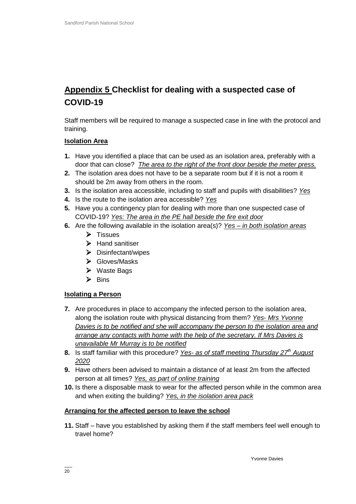# **Appendix 5 Checklist for dealing with a suspected case of COVID-19**

Staff members will be required to manage a suspected case in line with the protocol and training.

#### **Isolation Area**

- **1.** Have you identified a place that can be used as an isolation area, preferably with a door that can close? *The area to the right of the front door beside the meter press.*
- **2.** The isolation area does not have to be a separate room but if it is not a room it should be 2m away from others in the room.
- **3.** Is the isolation area accessible, including to staff and pupils with disabilities? *Yes*
- **4.** Is the route to the isolation area accessible? *Yes*
- **5.** Have you a contingency plan for dealing with more than one suspected case of COVID-19? *Yes: The area in the PE hall beside the fire exit door*
- **6.** Are the following available in the isolation area(s)? *Yes – in both isolation areas*
	- $\triangleright$  Tissues
	- $\triangleright$  Hand sanitiser
	- $\triangleright$  Disinfectant/wipes
	- Gloves/Masks
	- Waste Bags
	- $\triangleright$  Bins

#### **Isolating a Person**

- **7.** Are procedures in place to accompany the infected person to the isolation area, along the isolation route with physical distancing from them? *Yes- Mrs Yvonne Davies is to be notified and she will accompany the person to the isolation area and arrange any contacts with home with the help of the secretary. If Mrs Davies is unavailable Mr Murray is to be notified*
- **8.** Is staff familiar with this procedure? *Yes- as of staff meeting Thursday 27th August 2020*
- **9.** Have others been advised to maintain a distance of at least 2m from the affected person at all times? *Yes, as part of online training*
- **10.** Is there a disposable mask to wear for the affected person while in the common area and when exiting the building? *Yes, in the isolation area pack*

#### **Arranging for the affected person to leave the school**

**11.** Staff – have you established by asking them if the staff members feel well enough to travel home?